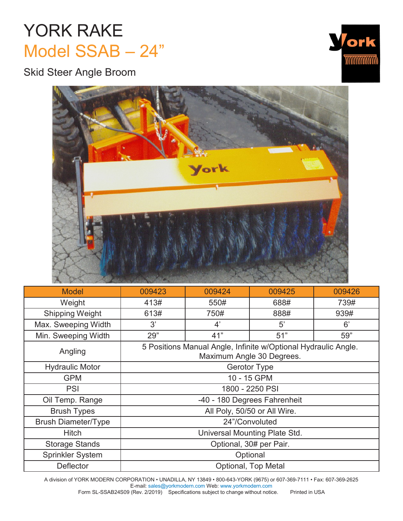## YORK RAKE Model SSAB – 24"

Skid Steer Angle Broom





| <b>Model</b>               | 009423                                                                                      | 009424 | 009425 | 009426 |  |  |
|----------------------------|---------------------------------------------------------------------------------------------|--------|--------|--------|--|--|
| Weight                     | 413#                                                                                        | 550#   | 688#   | 739#   |  |  |
| <b>Shipping Weight</b>     | 613#                                                                                        | 750#   | 888#   | 939#   |  |  |
| Max. Sweeping Width        | 3'                                                                                          | 4'     | 5'     | 6'     |  |  |
| Min. Sweeping Width        | 29"                                                                                         | 41"    | 51"    | 59"    |  |  |
| Angling                    | 5 Positions Manual Angle, Infinite w/Optional Hydraulic Angle.<br>Maximum Angle 30 Degrees. |        |        |        |  |  |
| <b>Hydraulic Motor</b>     | <b>Gerotor Type</b>                                                                         |        |        |        |  |  |
| <b>GPM</b>                 | 10 - 15 GPM                                                                                 |        |        |        |  |  |
| <b>PSI</b>                 | 1800 - 2250 PSI                                                                             |        |        |        |  |  |
| Oil Temp. Range            | -40 - 180 Degrees Fahrenheit                                                                |        |        |        |  |  |
| <b>Brush Types</b>         | All Poly, 50/50 or All Wire.                                                                |        |        |        |  |  |
| <b>Brush Diameter/Type</b> | 24"/Convoluted                                                                              |        |        |        |  |  |
| <b>Hitch</b>               | Universal Mounting Plate Std.                                                               |        |        |        |  |  |
| <b>Storage Stands</b>      | Optional, 30# per Pair.                                                                     |        |        |        |  |  |
| <b>Sprinkler System</b>    | Optional                                                                                    |        |        |        |  |  |
| <b>Deflector</b>           | Optional, Top Metal                                                                         |        |        |        |  |  |

A division of YORK MODERN CORPORATION • UNADILLA, NY 13849 • 800-643-YORK (9675) or 607-369-7111 • Fax: 607-369-2625 E-mail[: sales@yorkmodern.com W](mailto:sales@yorkmodern.com)eb: [www.yorkmodern.com](http://www.yorkmodern.com/)

Form SL-SSAB24S09 (Rev. 2/2019) Specifications subject to change without notice. Printed in USA